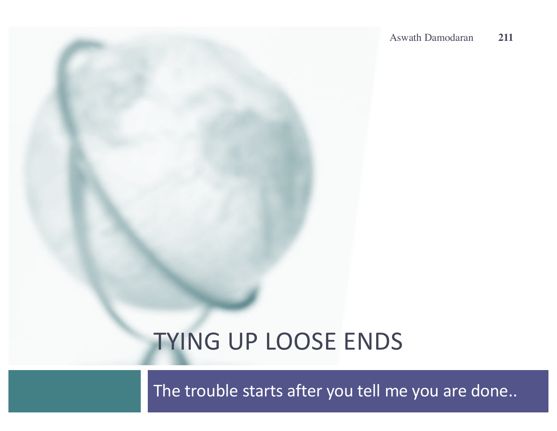# TYING UP LOOSE ENDS

The trouble starts after you tell me you are done..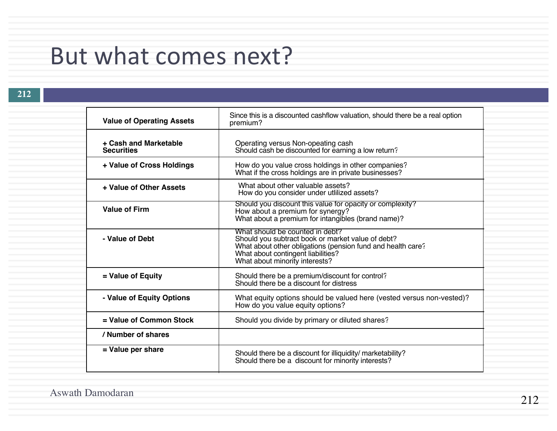## But what comes next?

| <b>Value of Operating Assets</b>           | Since this is a discounted cashflow valuation, should there be a real option<br>premium?                                                                                                                                    |
|--------------------------------------------|-----------------------------------------------------------------------------------------------------------------------------------------------------------------------------------------------------------------------------|
| + Cash and Marketable<br><b>Securities</b> | Operating versus Non-opeating cash<br>Should cash be discounted for earning a low return?                                                                                                                                   |
| + Value of Cross Holdings                  | How do you value cross holdings in other companies?<br>What if the cross holdings are in private businesses?                                                                                                                |
| + Value of Other Assets                    | What about other valuable assets?<br>How do you consider under utilized assets?                                                                                                                                             |
| <b>Value of Firm</b>                       | Should you discount this value for opacity or complexity?<br>How about a premium for synergy?<br>What about a premium for intangibles (brand name)?                                                                         |
| - Value of Debt                            | What should be counted in debt?<br>Should you subtract book or market value of debt?<br>What about other obligations (pension fund and health care?<br>What about contingent liabilities?<br>What about minority interests? |
| = Value of Equity                          | Should there be a premium/discount for control?<br>Should there be a discount for distress                                                                                                                                  |
| - Value of Equity Options                  | What equity options should be valued here (vested versus non-vested)?<br>How do you value equity options?                                                                                                                   |
| = Value of Common Stock                    | Should you divide by primary or diluted shares?                                                                                                                                                                             |
| / Number of shares                         |                                                                                                                                                                                                                             |
| = Value per share                          | Should there be a discount for illiquidity/ marketability?<br>Should there be a discount for minority interests?                                                                                                            |
|                                            |                                                                                                                                                                                                                             |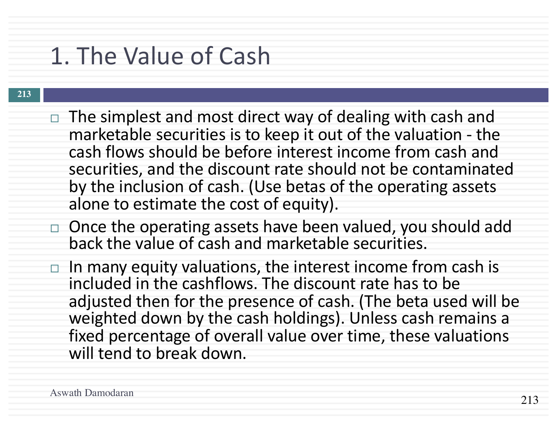# 1. The Value of Cash

- $\Box$  The simplest and most direct way of dealing with cash and marketable securities is to keep it out of the valuation - the cash flows should be before interest income from cash and securities, and the discount rate should not be contaminated by the inclusion of cash. (Use betas of the operating assets alone to estimate the cost of equity).
- $\Box$  Once the operating assets have been valued, you should add back the value of cash and marketable securities.
- $\Box$  In many equity valuations, the interest income from cash is included in the cashflows. The discount rate has to be adjusted then for the presence of cash. (The beta used will be weighted down by the cash holdings). Unless cash remains a fixed percentage of overall value over time, these valuations will tend to break down.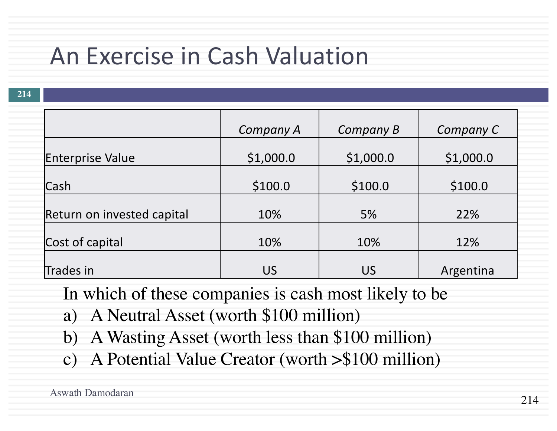# An Exercise in Cash Valuation

**214**

|                            | Company A | Company B | Company C |
|----------------------------|-----------|-----------|-----------|
| <b>Enterprise Value</b>    | \$1,000.0 | \$1,000.0 | \$1,000.0 |
| Cash                       | \$100.0   | \$100.0   | \$100.0   |
| Return on invested capital | 10%       | 5%        | 22%       |
| Cost of capital            | 10%       | 10%       | 12%       |
| Trades in                  | <b>US</b> | US        | Argentina |

In which of these companies is cash most likely to be

- a) A Neutral Asset (worth \$100 million)
- b) A Wasting Asset (worth less than \$100 million)
- c) A Potential Value Creator (worth >\$100 million)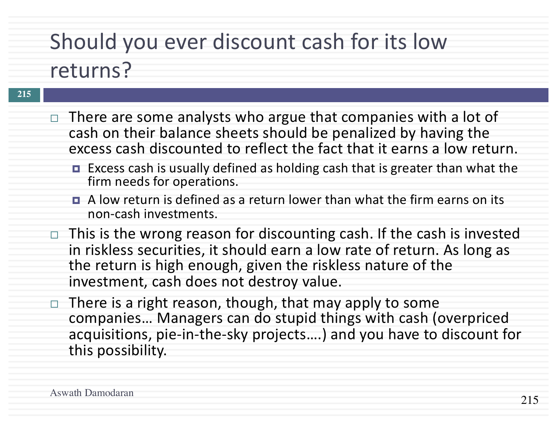# Should you ever discount cash for its low

### returns?

- $\Box$  There are some analysts who argue that companies with a lot of cash on their balance sheets should be penalized by having the excess cash discounted to reflect the fact that it earns a low return.
	- Excess cash is usually defined as holding cash that is greater than what the firm needs for operations.
	- $\blacksquare$  A low return is defined as a return lower than what the firm earns on its non-cash investments.
- $\Box$  This is the wrong reason for discounting cash. If the cash is invested in riskless securities, it should earn a low rate of return. As long as the return is high enough, given the riskless nature of the investment, cash does not destroy value.
- $\Box$  There is a right reason, though, that may apply to some companies... Managers can do stupid things with cash (overpriced acquisitions, pie-in-the-sky projects....) and you have to discount for this possibility.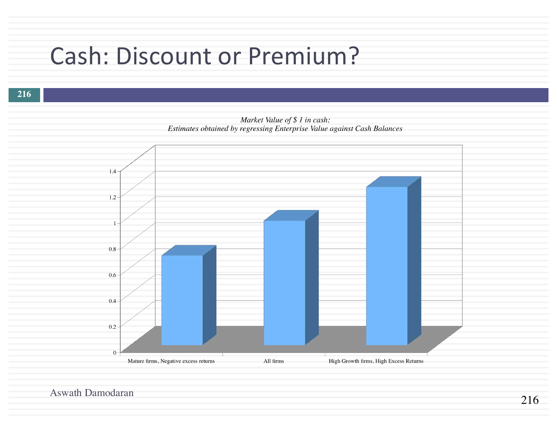# Cash: Discount or Premium?

#### **216**

Market Value of \$ 1 in cash: Estimates obtained by regressing Enterprise Value against Cash Balances

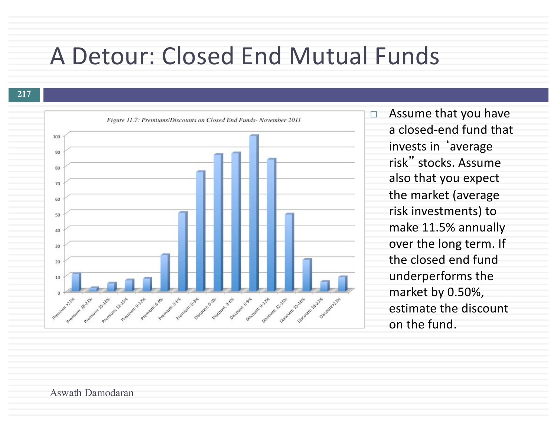## A Detour: Closed End Mutual Funds

#### **217**



 $\Box$  Assume that you have a closed-end fund that invests in 'average risk" stocks. Assume also that you expect the market (average risk investments) to make 11.5% annually over the long term. If the closed end fund underperforms the market by 0.50%, estimate the discount on the fund.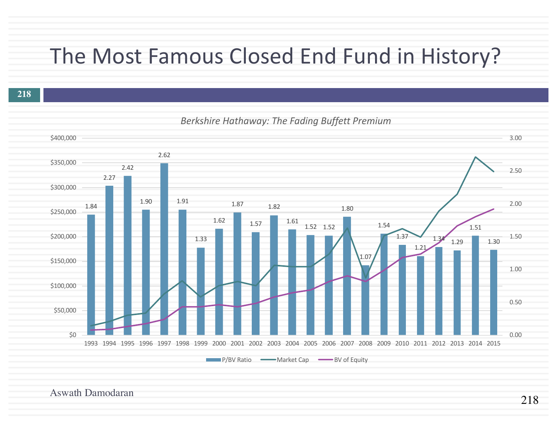### The Most Famous Closed End Fund in History?

**218**



#### *Berkshire Hathaway: The Fading Buffett Premium*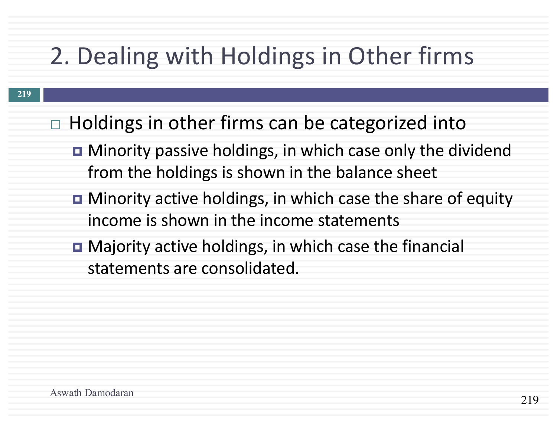# 2. Dealing with Holdings in Other firms

- $\Box$  Holdings in other firms can be categorized into
	- Minority passive holdings, in which case only the dividend from the holdings is shown in the balance sheet
	- **□** Minority active holdings, in which case the share of equity income is shown in the income statements
	- **□** Majority active holdings, in which case the financial statements are consolidated.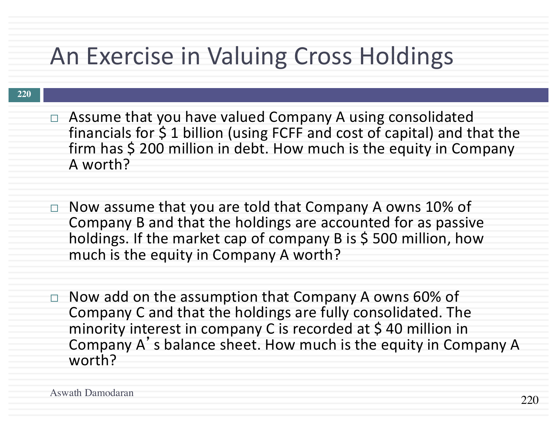# An Exercise in Valuing Cross Holdings

- $\Box$  Assume that you have valued Company A using consolidated financials for  $$$  1 billion (using FCFF and cost of capital) and that the firm has  $$200$  million in debt. How much is the equity in Company A worth?
- $\Box$  Now assume that you are told that Company A owns 10% of Company B and that the holdings are accounted for as passive holdings. If the market cap of company B is \$500 million, how much is the equity in Company A worth?
- $\Box$  Now add on the assumption that Company A owns 60% of Company C and that the holdings are fully consolidated. The minority interest in company C is recorded at \$40 million in Company A's balance sheet. How much is the equity in Company A worth?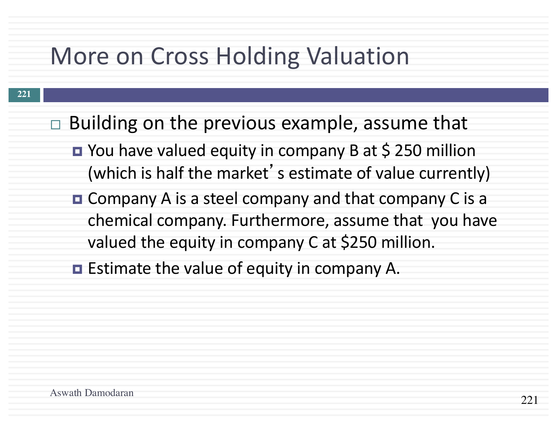# More on Cross Holding Valuation

- $\Box$  Building on the previous example, assume that
	- You have valued equity in company B at \$ 250 million (which is half the market's estimate of value currently)
	- Company A is a steel company and that company C is a chemical company. Furthermore, assume that you have valued the equity in company C at \$250 million.
	- $\blacksquare$  Estimate the value of equity in company A.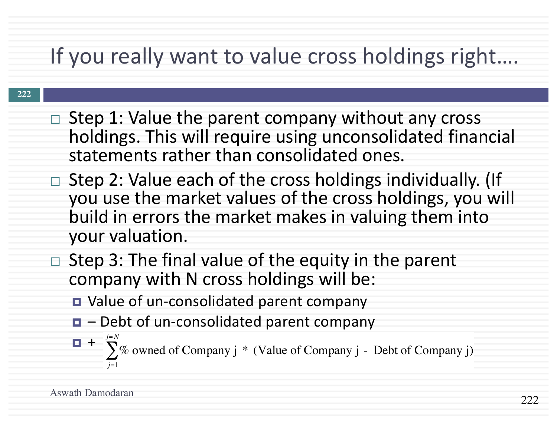## If you really want to value cross holdings right....

- $\Box$  Step 1: Value the parent company without any cross holdings. This will require using unconsolidated financial statements rather than consolidated ones.
- $\Box$  Step 2: Value each of the cross holdings individually. (If you use the market values of the cross holdings, you will build in errors the market makes in valuing them into your valuation.
- $\Box$  Step 3: The final value of the equity in the parent company with N cross holdings will be:
	- Value of un-consolidated parent company
	- $\blacksquare$  Debt of un-consolidated parent company
	- ¤ + % owned of Company j \* (Value of Company j *j*=1 *j*=*N*  $\sum$ % owned of Company j \* (Value of Company j - Debt of Company j)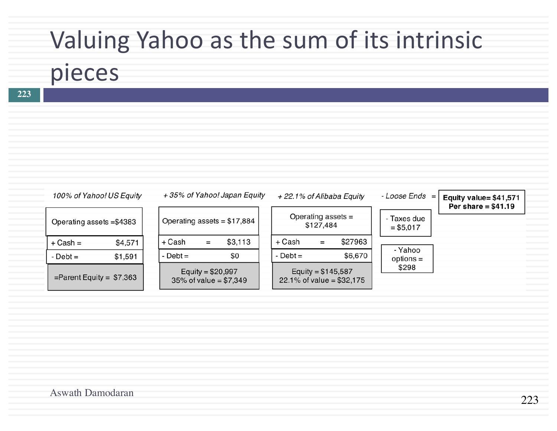# Valuing Yahoo as the sum of its intrinsic

# pieces

**223**

| 100% of Yahoo! US Equity    |         |              |                    | +35% of Yahoo! Japan Equity  | +22.1% of Alibaba Equity                          |           |         | $-LooseEnds =$            | Equity value= \$41,571 |
|-----------------------------|---------|--------------|--------------------|------------------------------|---------------------------------------------------|-----------|---------|---------------------------|------------------------|
| Operating assets = \$4383   |         |              |                    | Operating assets = $$17,884$ | Operating assets =                                | \$127,484 |         | - Taxes due<br>$= $5,017$ | Per share $= $41.19$   |
| $+$ Cash $=$                | \$4,571 | + Cash       | $\equiv$           | \$3,113                      | + Cash                                            | $=$       | \$27963 |                           |                        |
| $-$ Debt $=$                | \$1,591 | $-$ Debt $=$ |                    | \$0                          | - $Debt =$                                        |           | \$6,670 | - Yahoo<br>$options =$    |                        |
| $=$ Parent Equity = \$7,363 |         |              | Equity = $$20,997$ | 35% of value = $$7,349$      | Equity = $$145,587$<br>22.1% of value = $$32,175$ |           |         | \$298                     |                        |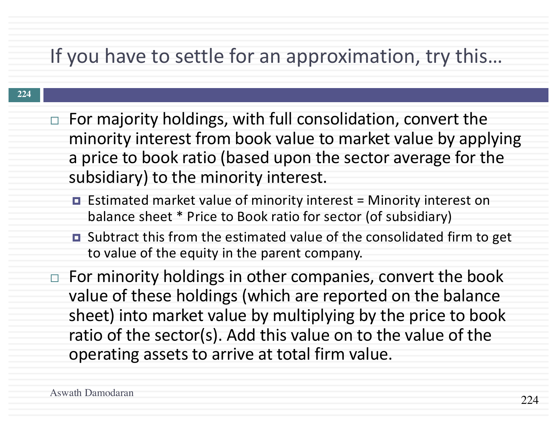### If you have to settle for an approximation, try this...

- $\Box$  For majority holdings, with full consolidation, convert the minority interest from book value to market value by applying a price to book ratio (based upon the sector average for the subsidiary) to the minority interest.
	- $\blacksquare$  Estimated market value of minority interest = Minority interest on balance sheet \* Price to Book ratio for sector (of subsidiary)
	- Subtract this from the estimated value of the consolidated firm to get to value of the equity in the parent company.
- $\Box$  For minority holdings in other companies, convert the book value of these holdings (which are reported on the balance sheet) into market value by multiplying by the price to book ratio of the sector(s). Add this value on to the value of the operating assets to arrive at total firm value.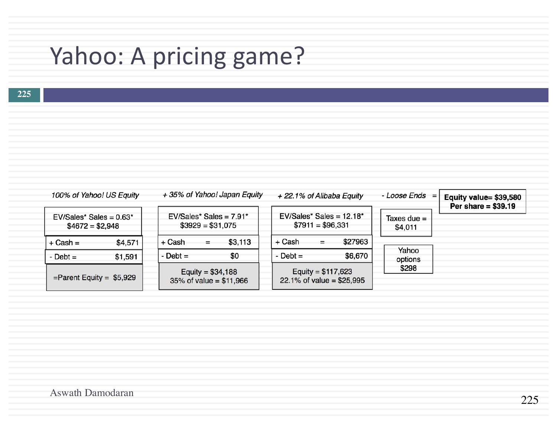# Yahoo: A pricing game?

| 100% of Yahoo! US Equity                      |         |           | +35% of Yahoo! Japan Equity |                            |  |                                                 | + 22.1% of Alibaba Equity |                          |                  | - Loose Ends =<br>Equity value= \$39,580<br>Per share = $$39.19$ |
|-----------------------------------------------|---------|-----------|-----------------------------|----------------------------|--|-------------------------------------------------|---------------------------|--------------------------|------------------|------------------------------------------------------------------|
| $EV/Sales* Sales = 0.63*$<br>$$4672 = $2,948$ |         |           | $$3929 = $31,075$           | $EV/Sales* Sales = 7.91*$  |  | $EV/Sales* Sales = 12.18*$<br>$$7911 = $96,331$ |                           | Taxes due $=$<br>\$4,011 |                  |                                                                  |
| $+$ Cash $=$                                  | \$4,571 | + Cash    | Ξ.                          | \$3,113                    |  | + Cash                                          | $=$                       | \$27963                  |                  |                                                                  |
| $-Debt =$                                     | \$1,591 | $-Debt =$ |                             | \$0                        |  | $-Debt =$                                       |                           | \$6,670                  | Yahoo<br>options |                                                                  |
| $=$ Parent Equity = \$5,929                   |         |           | Equity = $$34,188$          | $35\%$ of value = \$11,966 |  | $22.1\%$ of value = \$25,995                    | Equity = $$117,623$       |                          | \$298            |                                                                  |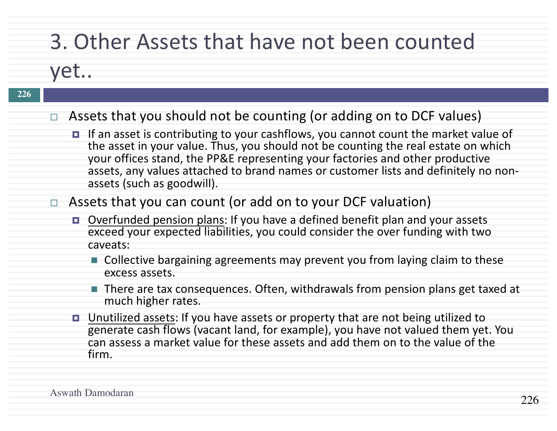## 3. Other Assets that have not been counted

### yet..

L

| 226 |                                                                                                                                                                                                                                                                                                                                                                                        |
|-----|----------------------------------------------------------------------------------------------------------------------------------------------------------------------------------------------------------------------------------------------------------------------------------------------------------------------------------------------------------------------------------------|
|     | $\Box$ Assets that you should not be counting (or adding on to DCF values)                                                                                                                                                                                                                                                                                                             |
|     | $\Box$ If an asset is contributing to your cashflows, you cannot count the market value of<br>the asset in your value. Thus, you should not be counting the real estate on which<br>your offices stand, the PP&E representing your factories and other productive<br>assets, any values attached to brand names or customer lists and definitely no non-<br>assets (such as goodwill). |
|     | $\Box$ Assets that you can count (or add on to your DCF valuation)                                                                                                                                                                                                                                                                                                                     |
|     | □ Overfunded pension plans: If you have a defined benefit plan and your assets<br>exceed your expected liabilities, you could consider the over funding with two<br>caveats:                                                                                                                                                                                                           |
|     | ■ Collective bargaining agreements may prevent you from laying claim to these<br>excess assets.                                                                                                                                                                                                                                                                                        |
|     | $\blacksquare$ There are tax consequences. Often, withdrawals from pension plans get taxed at<br>much higher rates.                                                                                                                                                                                                                                                                    |
|     | <b><math>\blacksquare</math></b> Unutilized assets: If you have assets or property that are not being utilized to<br>generate cash flows (vacant land, for example), you have not valued them yet. You<br>can assess a market value for these assets and add them on to the value of the<br>firm.                                                                                      |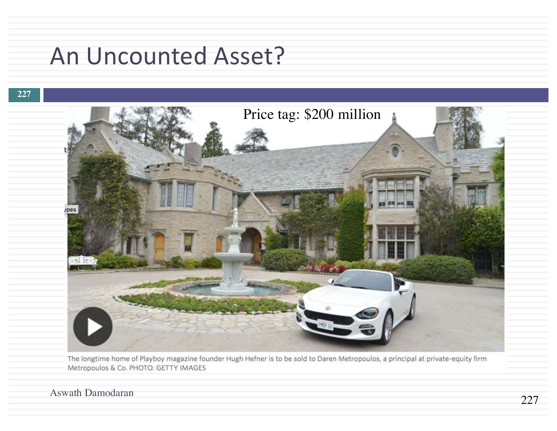# An Uncounted Asset?

#### **227**



The longtime home of Playboy magazine founder Hugh Hefner is to be sold to Daren Metropoulos, a principal at private-equity firm Metropoulos & Co. PHOTO: GETTY IMAGES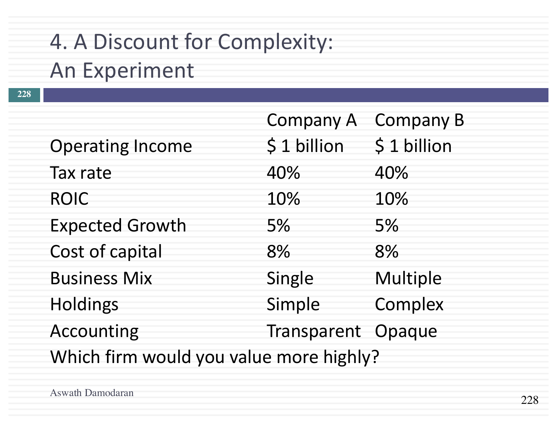# 4. A Discount for Complexity:

### **An Experiment**

|                                         | Company A          | <b>Company B</b> |
|-----------------------------------------|--------------------|------------------|
| <b>Operating Income</b>                 | \$1 billion        | \$1 billion      |
| Tax rate                                | 40%                | 40%              |
| <b>ROIC</b>                             | 10%                | 10%              |
| <b>Expected Growth</b>                  | 5%                 | 5%               |
| Cost of capital                         | 8%                 | 8%               |
| <b>Business Mix</b>                     | Single             | Multiple         |
| <b>Holdings</b>                         | Simple             | Complex          |
| Accounting                              | Transparent Opaque |                  |
| Which firm would you value more highly? |                    |                  |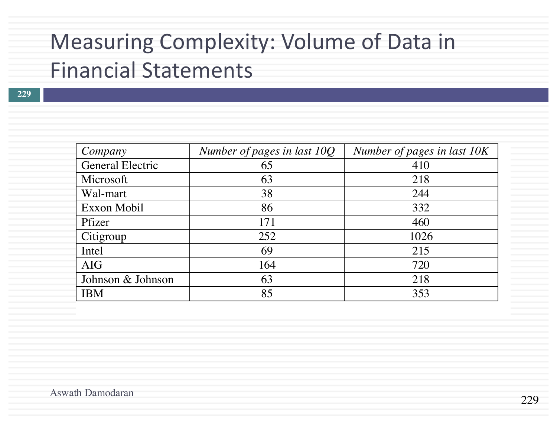### Measuring Complexity: Volume of Data in Financial Statements

| Company                 | Number of pages in last 10Q | Number of pages in last 10K |
|-------------------------|-----------------------------|-----------------------------|
| <b>General Electric</b> | 65                          | 410                         |
| Microsoft               | 63                          | 218                         |
| Wal-mart                | 38                          | 244                         |
| Exxon Mobil             | 86                          | 332                         |
| Pfizer                  | 171                         | 460                         |
| Citigroup               | 252                         | 1026                        |
| Intel                   | 69                          | 215                         |
| <b>AIG</b>              | 164                         | 720                         |
| Johnson & Johnson       | 63                          | 218                         |
| <b>IBM</b>              | 85                          | 353                         |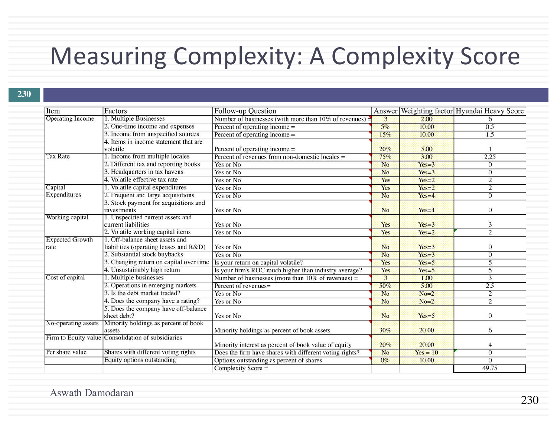# Measuring Complexity: A Complexity Score

| Item                           | Factors                                                                     | Follow-up Question                                         |                |            | Answer Weighting factor Hyundai Heavy Score |
|--------------------------------|-----------------------------------------------------------------------------|------------------------------------------------------------|----------------|------------|---------------------------------------------|
| <b>Operating Income</b>        | 1. Multiple Businesses                                                      | Number of businesses (with more than $10\%$ of revenues) = | 3              | 2.00       | 6                                           |
|                                | 2. One-time income and expenses                                             | Percent of operating income =                              | 5%             | 10.00      | 0.5                                         |
|                                | 3. Income from unspecified sources                                          | Percent of operating income $=$                            | 15%            | 10.00      | 1.5                                         |
|                                | 4. Items in income statement that are<br>volatile                           | Percent of operating income =                              | 20%            | 5.00       |                                             |
| <b>Tax Rate</b>                | 1. Income from multiple locales                                             | Percent of revenues from non-domestic locales =            | 75%            | 3.00       | 2.25                                        |
|                                | 2. Different tax and reporting books                                        | Yes or No                                                  | No             | $Yes=3$    | $\theta$                                    |
|                                | 3. Headquarters in tax havens                                               | Yes or No                                                  | No             | $Yes=3$    | $\mathbf{0}$                                |
|                                | 4. Volatile effective tax rate                                              | Yes or No                                                  | Yes            | $Yes=2$    | $\overline{2}$                              |
| Capital                        | 1. Volatile capital expenditures                                            | Yes or No                                                  | Yes            | $Yes=2$    | $\overline{2}$                              |
| Expenditures                   | 2. Frequent and large acquisitions                                          | Yes or No                                                  | N <sub>o</sub> | $Yes=4$    | $\overline{0}$                              |
|                                | 3. Stock payment for acquisitions and<br>investments                        | Yes or No                                                  | <b>No</b>      | $Yes=4$    | $\mathbf{0}$                                |
| Working capital                | 1. Unspecified current assets and<br>current liabilities                    | Yes or No                                                  | Yes            | $Yes=3$    | 3                                           |
|                                | 2. Volatile working capital items                                           | Yes or No                                                  | Yes            | $Yes=2$    | $\overline{2}$                              |
| <b>Expected Growth</b><br>rate | 1. Off-balance sheet assets and<br>liabilities (operating leases and R&D)   | Yes or No                                                  | N <sub>o</sub> | $Yes=3$    | $\mathbf{0}$                                |
|                                | 2. Substantial stock buybacks                                               | Yes or No                                                  | N <sub>o</sub> | $Yes=3$    | $\overline{0}$                              |
|                                | 3. Changing return on capital over time Is your return on capital volatile? |                                                            | Yes            | $Yes=5$    | 5                                           |
|                                | 4. Unsustainably high return                                                | Is your firm's ROC much higher than industry average?      | Yes            | $Yes=5$    | 5                                           |
| Cost of capital                | 1. Multiple businesses                                                      | Number of businesses (more than $10\%$ of revenues) =      | 3              | 1.00       | 3                                           |
|                                | 2. Operations in emerging markets                                           | Percent of revenues=                                       | 50%            | 5.00       | 2.5                                         |
|                                | 3. Is the debt market traded?                                               | Yes or No                                                  | No             | $No=2$     | $\overline{2}$                              |
|                                | 4. Does the company have a rating?                                          | Yes or No                                                  | N <sub>o</sub> | $No=2$     | $\overline{2}$                              |
|                                | 5. Does the company have off-balance<br>sheet debt?                         | Yes or No                                                  | N <sub>o</sub> | $Yes=5$    | $\overline{0}$                              |
| No-operating assets            | Minority holdings as percent of book<br>assets                              | Minority holdings as percent of book assets                | 30%            | 20.00      | 6                                           |
|                                | Firm to Equity value Consolidation of subsidiaries                          | Minority interest as percent of book value of equity       | 20%            | 20.00      | $\overline{4}$                              |
| Per share value                | Shares with different voting rights                                         | Does the firm have shares with different voting rights?    | No.            | $Yes = 10$ | $\overline{0}$                              |
|                                | Equity options outstanding                                                  | Options outstanding as percent of shares                   | $0\%$          | 10.00      | $\overline{0}$                              |
|                                |                                                                             | $Complexity Score =$                                       |                |            | 49.75                                       |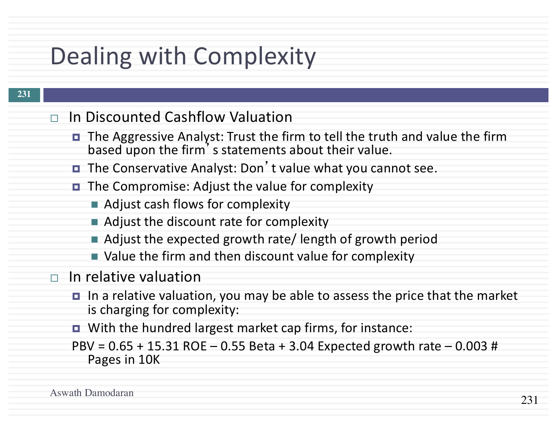# Dealing with Complexity

- $\Box$  In Discounted Cashflow Valuation
	- The Aggressive Analyst: Trust the firm to tell the truth and value the firm based upon the firm's statements about their value.
	- The Conservative Analyst: Don't value what you cannot see.
	- The Compromise: Adjust the value for complexity
		- Adjust cash flows for complexity
		- $\blacksquare$  Adjust the discount rate for complexity
		- $\blacksquare$  Adjust the expected growth rate/ length of growth period
		- Value the firm and then discount value for complexity
- $\Box$  In relative valuation
	- In a relative valuation, you may be able to assess the price that the market is charging for complexity:
	- $\blacksquare$  With the hundred largest market cap firms, for instance:
	- $PBV = 0.65 + 15.31$  ROE  $0.55$  Beta + 3.04 Expected growth rate  $0.003$  # Pages in 10K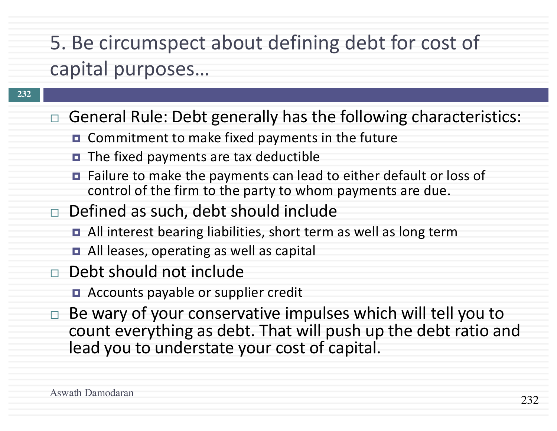# 5. Be circumspect about defining debt for cost of capital purposes...

- $\Box$  General Rule: Debt generally has the following characteristics:
	- $\blacksquare$  Commitment to make fixed payments in the future
	- $\blacksquare$  The fixed payments are tax deductible
	- $\blacksquare$  Failure to make the payments can lead to either default or loss of control of the firm to the party to whom payments are due.
- $\Box$  Defined as such, debt should include
	- $\blacksquare$  All interest bearing liabilities, short term as well as long term
	- $\blacksquare$  All leases, operating as well as capital
- $\Box$  Debt should not include
	- Accounts payable or supplier credit
- $\Box$  Be wary of your conservative impulses which will tell you to count everything as debt. That will push up the debt ratio and lead you to understate your cost of capital.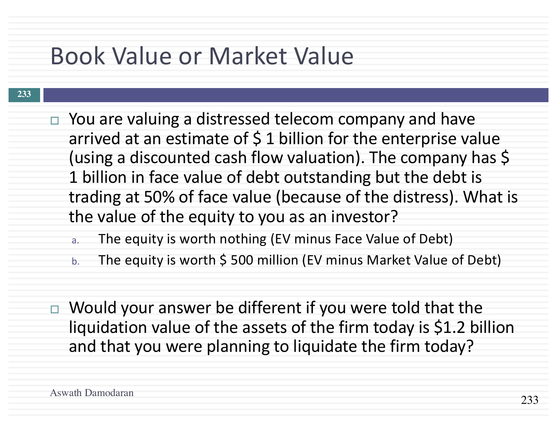# Book Value or Market Value

- $\Box$  You are valuing a distressed telecom company and have arrived at an estimate of  $\frac{1}{2}$  billion for the enterprise value (using a discounted cash flow valuation). The company has \$ 1 billion in face value of debt outstanding but the debt is trading at 50% of face value (because of the distress). What is the value of the equity to you as an investor?
	- a. The equity is worth nothing (EV minus Face Value of Debt)
	- b. The equity is worth \$500 million (EV minus Market Value of Debt)
- $\Box$  Would your answer be different if you were told that the liquidation value of the assets of the firm today is \$1.2 billion and that you were planning to liquidate the firm today?